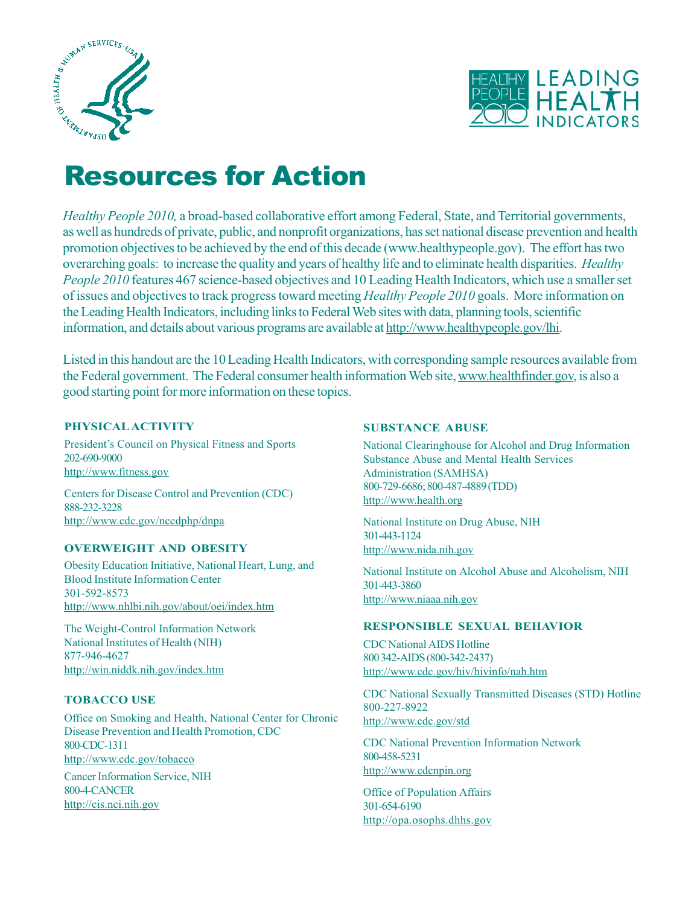



# Resources for Action

*Healthy People 2010,* a broad-based collaborative effort among Federal, State, and Territorial governments, as well as hundreds of private, public, and nonprofit organizations, has set national disease prevention and health promotion objectives to be achieved by the end of this decade (www.healthypeople.gov). The effort has two overarching goals: to increase the quality and years of healthy life and to eliminate health disparities. *Healthy People 2010* features 467 science-based objectives and 10 Leading Health Indicators, which use a smaller set of issues and objectives to track progress toward meeting *Healthy People 2010* goals. More information on the Leading Health Indicators, including links to Federal Web sites with data, planning tools, scientific information, and details about various programs are available at http://www.healthypeople.gov/lhi.

Listed in this handout are the 10 Leading Health Indicators, with corresponding sample resources available from the Federal government. The Federal consumer health information Web site, www.healthfinder.gov, is also a good starting point for more information on these topics.

# **PHYSICAL ACTIVITY**

President's Council on Physical Fitness and Sports 202-690-9000 http://www.fitness.gov

Centers for Disease Control and Prevention (CDC) 888-232-3228 http://www.cdc.gov/nccdphp/dnpa

# **OVERWEIGHT AND OBESITY**

Obesity Education Initiative, National Heart, Lung, and Blood Institute Information Center 301-592-8573 http://www.nhlbi.nih.gov/about/oei/index.htm

The Weight-Control Information Network National Institutes of Health (NIH) 877-946-4627 http://win.niddk.nih.gov/index.htm

# **TOBACCO USE**

Office on Smoking and Health, National Center for Chronic Disease Prevention and Health Promotion, CDC 800-CDC-1311 http://www.cdc.gov/tobacco

Cancer Information Service, NIH 800-4-CANCER http://cis.nci.nih.gov

## **SUBSTANCE ABUSE**

National Clearinghouse for Alcohol and Drug Information Substance Abuse and Mental Health Services Administration (SAMHSA) 800-729-6686; 800-487-4889 (TDD) http://www.health.org

National Institute on Drug Abuse, NIH 301-443-1124 http://www.nida.nih.gov

National Institute on Alcohol Abuse and Alcoholism, NIH 301-443-3860 http://www.niaaa.nih.gov

## **RESPONSIBLE SEXUAL BEHAVIOR**

CDC National AIDS Hotline 800 342-AIDS (800-342-2437) http://www.cdc.gov/hiv/hivinfo/nah.htm

CDC National Sexually Transmitted Diseases (STD) Hotline 800-227-8922 http://www.cdc.gov/std

CDC National Prevention Information Network 800-458-5231 http://www.cdcnpin.org

Office of Population Affairs 301-654-6190 http://opa.osophs.dhhs.gov